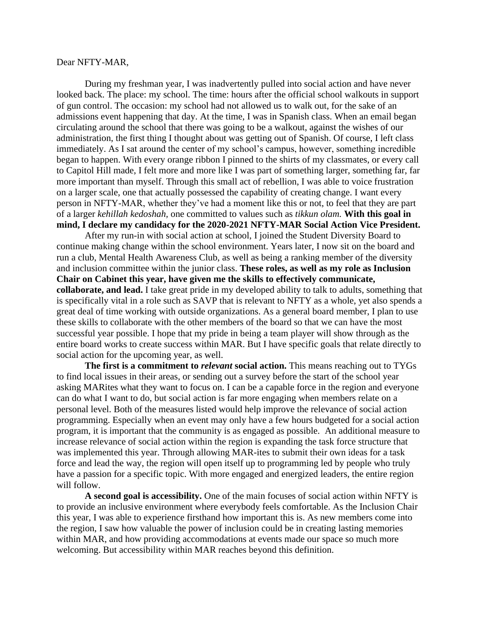## Dear NFTY-MAR,

During my freshman year, I was inadvertently pulled into social action and have never looked back. The place: my school. The time: hours after the official school walkouts in support of gun control. The occasion: my school had not allowed us to walk out, for the sake of an admissions event happening that day. At the time, I was in Spanish class. When an email began circulating around the school that there was going to be a walkout, against the wishes of our administration, the first thing I thought about was getting out of Spanish. Of course, I left class immediately. As I sat around the center of my school's campus, however, something incredible began to happen. With every orange ribbon I pinned to the shirts of my classmates, or every call to Capitol Hill made, I felt more and more like I was part of something larger, something far, far more important than myself. Through this small act of rebellion, I was able to voice frustration on a larger scale, one that actually possessed the capability of creating change. I want every person in NFTY-MAR, whether they've had a moment like this or not, to feel that they are part of a larger *kehillah kedoshah,* one committed to values such as *tikkun olam.* **With this goal in mind, I declare my candidacy for the 2020-2021 NFTY-MAR Social Action Vice President.**

After my run-in with social action at school, I joined the Student Diversity Board to continue making change within the school environment. Years later, I now sit on the board and run a club, Mental Health Awareness Club, as well as being a ranking member of the diversity and inclusion committee within the junior class. **These roles, as well as my role as Inclusion Chair on Cabinet this year, have given me the skills to effectively communicate, collaborate, and lead.** I take great pride in my developed ability to talk to adults, something that is specifically vital in a role such as SAVP that is relevant to NFTY as a whole, yet also spends a great deal of time working with outside organizations. As a general board member, I plan to use these skills to collaborate with the other members of the board so that we can have the most successful year possible. I hope that my pride in being a team player will show through as the entire board works to create success within MAR. But I have specific goals that relate directly to social action for the upcoming year, as well.

**The first is a commitment to** *relevant* **social action.** This means reaching out to TYGs to find local issues in their areas, or sending out a survey before the start of the school year asking MARites what they want to focus on. I can be a capable force in the region and everyone can do what I want to do, but social action is far more engaging when members relate on a personal level. Both of the measures listed would help improve the relevance of social action programming. Especially when an event may only have a few hours budgeted for a social action program, it is important that the community is as engaged as possible. An additional measure to increase relevance of social action within the region is expanding the task force structure that was implemented this year. Through allowing MAR-ites to submit their own ideas for a task force and lead the way, the region will open itself up to programming led by people who truly have a passion for a specific topic. With more engaged and energized leaders, the entire region will follow.

**A second goal is accessibility.** One of the main focuses of social action within NFTY is to provide an inclusive environment where everybody feels comfortable. As the Inclusion Chair this year, I was able to experience firsthand how important this is. As new members come into the region, I saw how valuable the power of inclusion could be in creating lasting memories within MAR, and how providing accommodations at events made our space so much more welcoming. But accessibility within MAR reaches beyond this definition.